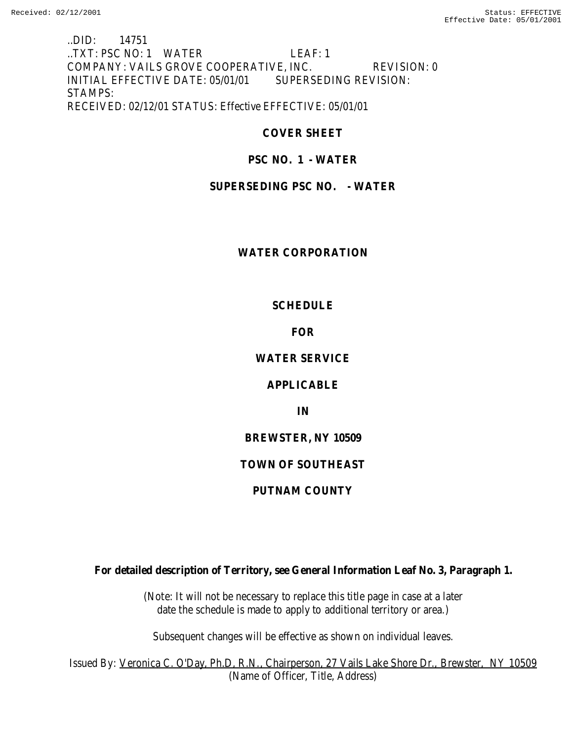..DID: 14751 ..TXT: PSC NO: 1 WATER LEAF: 1 COMPANY: VAILS GROVE COOPERATIVE, INC. REVISION: 0 INITIAL EFFECTIVE DATE: 05/01/01 SUPERSEDING REVISION: STAMPS: RECEIVED: 02/12/01 STATUS: Effective EFFECTIVE: 05/01/01

**COVER SHEET**

## **PSC NO. 1 - WATER**

## **SUPERSEDING PSC NO. - WATER**

## **WATER CORPORATION**

## **SCHEDULE**

## **FOR**

# **WATER SERVICE**

## **APPLICABLE**

**IN**

## **BREWSTER, NY 10509**

# **TOWN OF SOUTHEAST**

# **PUTNAM COUNTY**

**For detailed description of Territory, see General Information Leaf No. 3, Paragraph 1.**

(Note: It will not be necessary to replace this title page in case at a later date the schedule is made to apply to additional territory or area.)

Subsequent changes will be effective as shown on individual leaves.

Issued By: Veronica C. O'Day, Ph.D, R.N., Chairperson, 27 Vails Lake Shore Dr., Brewster, NY 10509 (Name of Officer, Title, Address)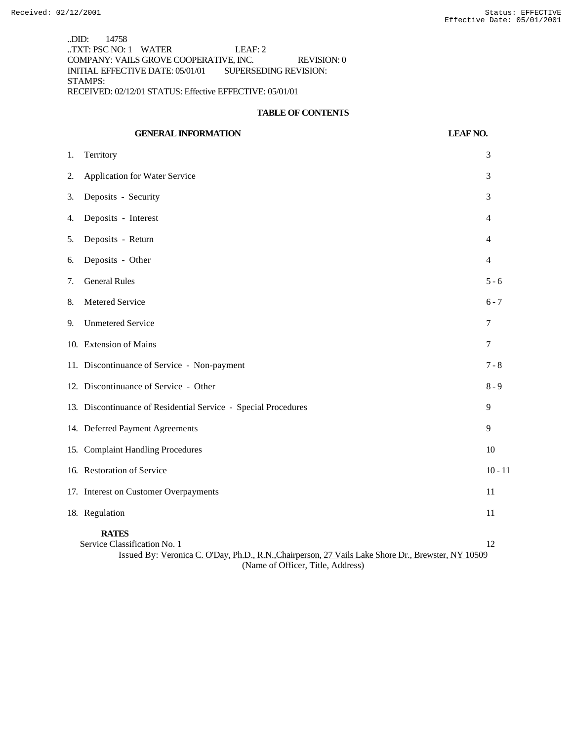..DID: 14758 ..TXT: PSC NO: 1 WATER LEAF: 2 COMPANY: VAILS GROVE COOPERATIVE, INC. REVISION: 0 INITIAL EFFECTIVE DATE: 05/01/01 SUPERSEDING REVISION: STAMPS: RECEIVED: 02/12/01 STATUS: Effective EFFECTIVE: 05/01/01

#### **TABLE OF CONTENTS**

|                                                                                                                                                           | <b>GENERAL INFORMATION</b>                                     | <b>LEAF NO.</b> |
|-----------------------------------------------------------------------------------------------------------------------------------------------------------|----------------------------------------------------------------|-----------------|
| 1.                                                                                                                                                        | Territory                                                      | 3               |
| 2.                                                                                                                                                        | Application for Water Service                                  | 3               |
| 3.                                                                                                                                                        | Deposits - Security                                            | 3               |
| 4.                                                                                                                                                        | Deposits - Interest                                            | 4               |
| 5.                                                                                                                                                        | Deposits - Return                                              | 4               |
| 6.                                                                                                                                                        | Deposits - Other                                               | 4               |
| 7.                                                                                                                                                        | <b>General Rules</b>                                           | $5 - 6$         |
| 8.                                                                                                                                                        | Metered Service                                                | $6 - 7$         |
| 9.                                                                                                                                                        | <b>Unmetered Service</b>                                       | 7               |
|                                                                                                                                                           | 10. Extension of Mains                                         | 7               |
|                                                                                                                                                           | 11. Discontinuance of Service - Non-payment                    | $7 - 8$         |
|                                                                                                                                                           | 12. Discontinuance of Service - Other                          | $8 - 9$         |
|                                                                                                                                                           | 13. Discontinuance of Residential Service - Special Procedures | 9               |
|                                                                                                                                                           | 14. Deferred Payment Agreements                                | 9               |
|                                                                                                                                                           | 15. Complaint Handling Procedures                              | 10              |
|                                                                                                                                                           | 16. Restoration of Service                                     | $10 - 11$       |
|                                                                                                                                                           | 17. Interest on Customer Overpayments                          | 11              |
|                                                                                                                                                           | 18. Regulation                                                 | 11              |
| <b>RATES</b><br>Service Classification No. 1<br>12<br>Issued By: Veronica C. O'Day, Ph.D., R.N., Chairperson, 27 Vails Lake Shore Dr., Brewster, NY 10509 |                                                                |                 |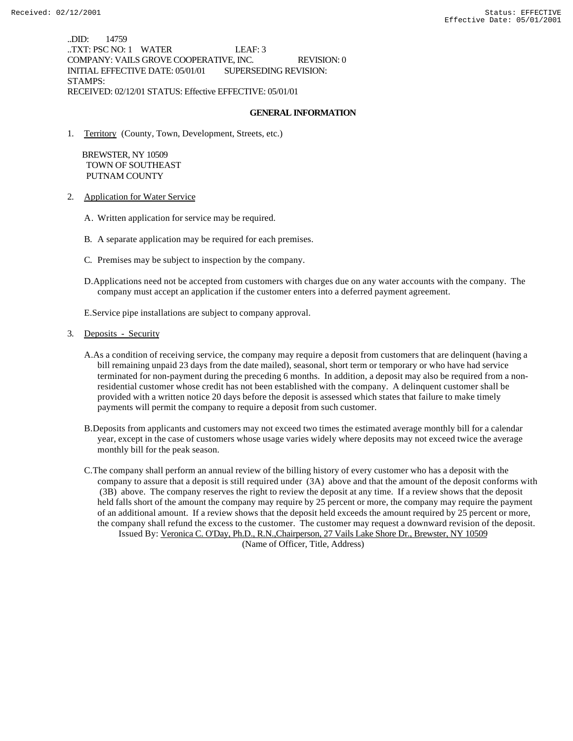..DID: 14759 ..TXT: PSC NO: 1 WATER LEAF: 3 COMPANY: VAILS GROVE COOPERATIVE, INC. REVISION: 0 INITIAL EFFECTIVE DATE: 05/01/01 SUPERSEDING REVISION: STAMPS: RECEIVED: 02/12/01 STATUS: Effective EFFECTIVE: 05/01/01

### **GENERAL INFORMATION**

1. Territory (County, Town, Development, Streets, etc.)

 BREWSTER, NY 10509 TOWN OF SOUTHEAST PUTNAM COUNTY

- 2. Application for Water Service
	- A. Written application for service may be required.
	- B. A separate application may be required for each premises.
	- C. Premises may be subject to inspection by the company.
	- D.Applications need not be accepted from customers with charges due on any water accounts with the company. The company must accept an application if the customer enters into a deferred payment agreement.

E.Service pipe installations are subject to company approval.

- 3. Deposits Security
	- A.As a condition of receiving service, the company may require a deposit from customers that are delinquent (having a bill remaining unpaid 23 days from the date mailed), seasonal, short term or temporary or who have had service terminated for non-payment during the preceding 6 months. In addition, a deposit may also be required from a nonresidential customer whose credit has not been established with the company. A delinquent customer shall be provided with a written notice 20 days before the deposit is assessed which states that failure to make timely payments will permit the company to require a deposit from such customer.
	- B.Deposits from applicants and customers may not exceed two times the estimated average monthly bill for a calendar year, except in the case of customers whose usage varies widely where deposits may not exceed twice the average monthly bill for the peak season.
	- C.The company shall perform an annual review of the billing history of every customer who has a deposit with the company to assure that a deposit is still required under (3A) above and that the amount of the deposit conforms with (3B) above. The company reserves the right to review the deposit at any time. If a review shows that the deposit held falls short of the amount the company may require by 25 percent or more, the company may require the payment of an additional amount. If a review shows that the deposit held exceeds the amount required by 25 percent or more, the company shall refund the excess to the customer. The customer may request a downward revision of the deposit. Issued By: Veronica C. O'Day, Ph.D., R.N.,Chairperson, 27 Vails Lake Shore Dr., Brewster, NY 10509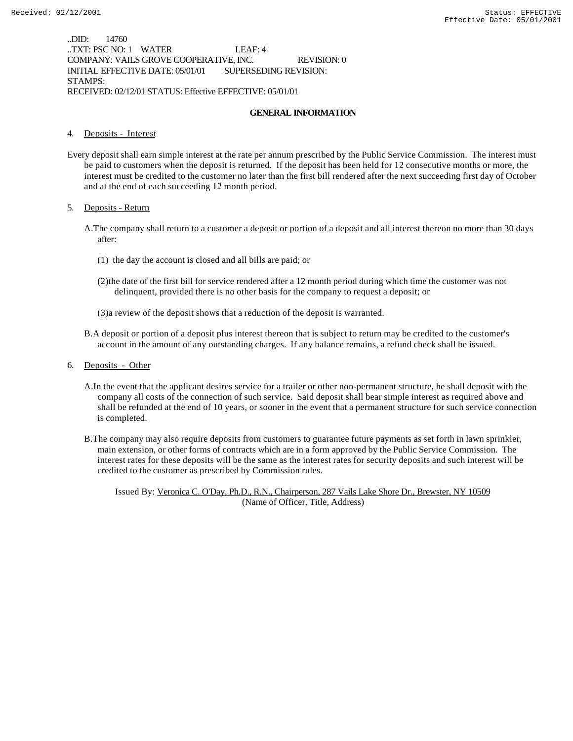..DID: 14760 ..TXT: PSC NO: 1 WATER LEAF: 4 COMPANY: VAILS GROVE COOPERATIVE, INC. REVISION: 0 INITIAL EFFECTIVE DATE: 05/01/01 SUPERSEDING REVISION: STAMPS: RECEIVED: 02/12/01 STATUS: Effective EFFECTIVE: 05/01/01

#### **GENERAL INFORMATION**

#### 4. Deposits - Interest

Every deposit shall earn simple interest at the rate per annum prescribed by the Public Service Commission. The interest must be paid to customers when the deposit is returned. If the deposit has been held for 12 consecutive months or more, the interest must be credited to the customer no later than the first bill rendered after the next succeeding first day of October and at the end of each succeeding 12 month period.

#### 5. Deposits - Return

- A.The company shall return to a customer a deposit or portion of a deposit and all interest thereon no more than 30 days after:
	- (1) the day the account is closed and all bills are paid; or
	- (2)the date of the first bill for service rendered after a 12 month period during which time the customer was not delinquent, provided there is no other basis for the company to request a deposit; or
	- (3)a review of the deposit shows that a reduction of the deposit is warranted.
- B.A deposit or portion of a deposit plus interest thereon that is subject to return may be credited to the customer's account in the amount of any outstanding charges. If any balance remains, a refund check shall be issued.
- 6. Deposits Other
	- A.In the event that the applicant desires service for a trailer or other non-permanent structure, he shall deposit with the company all costs of the connection of such service. Said deposit shall bear simple interest as required above and shall be refunded at the end of 10 years, or sooner in the event that a permanent structure for such service connection is completed.
	- B.The company may also require deposits from customers to guarantee future payments as set forth in lawn sprinkler, main extension, or other forms of contracts which are in a form approved by the Public Service Commission. The interest rates for these deposits will be the same as the interest rates for security deposits and such interest will be credited to the customer as prescribed by Commission rules.

Issued By: Veronica C. O'Day, Ph.D., R.N., Chairperson, 287 Vails Lake Shore Dr., Brewster, NY 10509 (Name of Officer, Title, Address)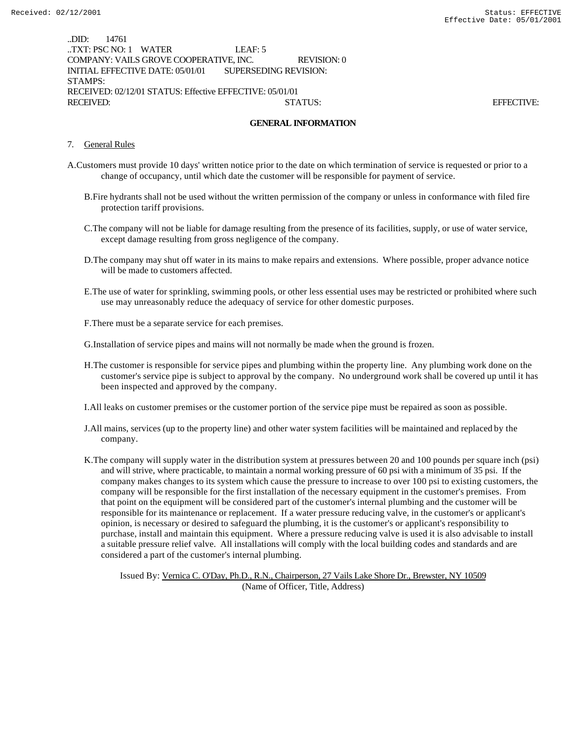..DID: 14761 ..TXT: PSC NO: 1 WATER LEAF: 5 COMPANY: VAILS GROVE COOPERATIVE, INC. REVISION: 0 INITIAL EFFECTIVE DATE: 05/01/01 SUPERSEDING REVISION: STAMPS: RECEIVED: 02/12/01 STATUS: Effective EFFECTIVE: 05/01/01 RECEIVED: STATUS: EFFECTIVE:

#### **GENERAL INFORMATION**

- 7. General Rules
- A.Customers must provide 10 days' written notice prior to the date on which termination of service is requested or prior to a change of occupancy, until which date the customer will be responsible for payment of service.
	- B.Fire hydrants shall not be used without the written permission of the company or unless in conformance with filed fire protection tariff provisions.
	- C.The company will not be liable for damage resulting from the presence of its facilities, supply, or use of water service, except damage resulting from gross negligence of the company.
	- D.The company may shut off water in its mains to make repairs and extensions. Where possible, proper advance notice will be made to customers affected.
	- E.The use of water for sprinkling, swimming pools, or other less essential uses may be restricted or prohibited where such use may unreasonably reduce the adequacy of service for other domestic purposes.
	- F.There must be a separate service for each premises.

G.Installation of service pipes and mains will not normally be made when the ground is frozen.

- H.The customer is responsible for service pipes and plumbing within the property line. Any plumbing work done on the customer's service pipe is subject to approval by the company. No underground work shall be covered up until it has been inspected and approved by the company.
- I.All leaks on customer premises or the customer portion of the service pipe must be repaired as soon as possible.
- J.All mains, services (up to the property line) and other water system facilities will be maintained and replaced by the company.
- K.The company will supply water in the distribution system at pressures between 20 and 100 pounds per square inch (psi) and will strive, where practicable, to maintain a normal working pressure of 60 psi with a minimum of 35 psi. If the company makes changes to its system which cause the pressure to increase to over 100 psi to existing customers, the company will be responsible for the first installation of the necessary equipment in the customer's premises. From that point on the equipment will be considered part of the customer's internal plumbing and the customer will be responsible for its maintenance or replacement. If a water pressure reducing valve, in the customer's or applicant's opinion, is necessary or desired to safeguard the plumbing, it is the customer's or applicant's responsibility to purchase, install and maintain this equipment. Where a pressure reducing valve is used it is also advisable to install a suitable pressure relief valve. All installations will comply with the local building codes and standards and are considered a part of the customer's internal plumbing.

Issued By: Vernica C. O'Day, Ph.D., R.N., Chairperson, 27 Vails Lake Shore Dr., Brewster, NY 10509 (Name of Officer, Title, Address)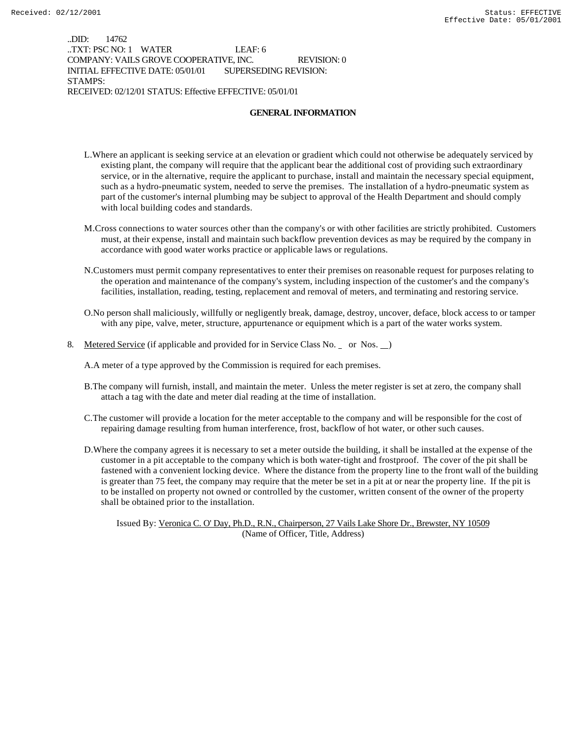..DID: 14762 ..TXT: PSC NO: 1 WATER LEAF: 6 COMPANY: VAILS GROVE COOPERATIVE, INC. REVISION: 0 INITIAL EFFECTIVE DATE: 05/01/01 SUPERSEDING REVISION: STAMPS: RECEIVED: 02/12/01 STATUS: Effective EFFECTIVE: 05/01/01

#### **GENERAL INFORMATION**

- L.Where an applicant is seeking service at an elevation or gradient which could not otherwise be adequately serviced by existing plant, the company will require that the applicant bear the additional cost of providing such extraordinary service, or in the alternative, require the applicant to purchase, install and maintain the necessary special equipment, such as a hydro-pneumatic system, needed to serve the premises. The installation of a hydro-pneumatic system as part of the customer's internal plumbing may be subject to approval of the Health Department and should comply with local building codes and standards.
- M.Cross connections to water sources other than the company's or with other facilities are strictly prohibited. Customers must, at their expense, install and maintain such backflow prevention devices as may be required by the company in accordance with good water works practice or applicable laws or regulations.
- N.Customers must permit company representatives to enter their premises on reasonable request for purposes relating to the operation and maintenance of the company's system, including inspection of the customer's and the company's facilities, installation, reading, testing, replacement and removal of meters, and terminating and restoring service.
- O.No person shall maliciously, willfully or negligently break, damage, destroy, uncover, deface, block access to or tamper with any pipe, valve, meter, structure, appurtenance or equipment which is a part of the water works system.
- 8. Metered Service (if applicable and provided for in Service Class No. \_ or Nos. \_)

A.A meter of a type approved by the Commission is required for each premises.

- B.The company will furnish, install, and maintain the meter. Unless the meter register is set at zero, the company shall attach a tag with the date and meter dial reading at the time of installation.
- C.The customer will provide a location for the meter acceptable to the company and will be responsible for the cost of repairing damage resulting from human interference, frost, backflow of hot water, or other such causes.
- D.Where the company agrees it is necessary to set a meter outside the building, it shall be installed at the expense of the customer in a pit acceptable to the company which is both water-tight and frostproof. The cover of the pit shall be fastened with a convenient locking device. Where the distance from the property line to the front wall of the building is greater than 75 feet, the company may require that the meter be set in a pit at or near the property line. If the pit is to be installed on property not owned or controlled by the customer, written consent of the owner of the property shall be obtained prior to the installation.

Issued By: Veronica C. O' Day, Ph.D., R.N., Chairperson, 27 Vails Lake Shore Dr., Brewster, NY 10509 (Name of Officer, Title, Address)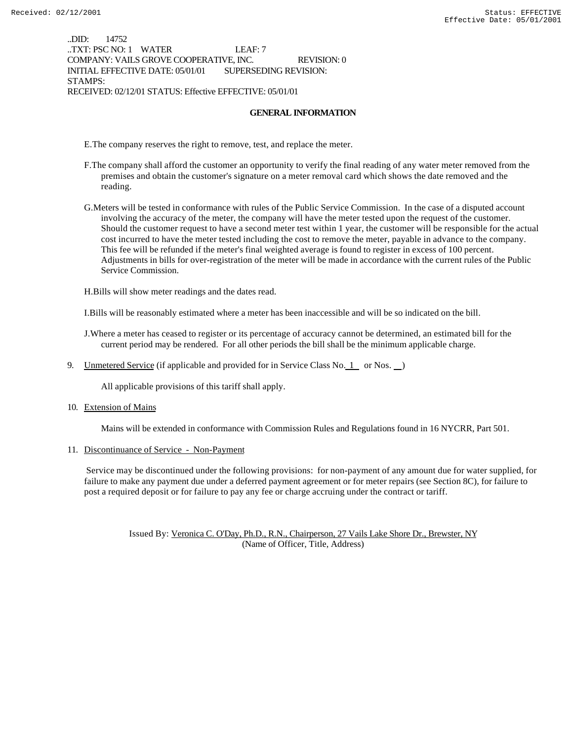..DID: 14752 ..TXT: PSC NO: 1 WATER LEAF: 7 COMPANY: VAILS GROVE COOPERATIVE, INC. REVISION: 0 INITIAL EFFECTIVE DATE: 05/01/01 SUPERSEDING REVISION: STAMPS: RECEIVED: 02/12/01 STATUS: Effective EFFECTIVE: 05/01/01

#### **GENERAL INFORMATION**

E.The company reserves the right to remove, test, and replace the meter.

- F.The company shall afford the customer an opportunity to verify the final reading of any water meter removed from the premises and obtain the customer's signature on a meter removal card which shows the date removed and the reading.
- G.Meters will be tested in conformance with rules of the Public Service Commission. In the case of a disputed account involving the accuracy of the meter, the company will have the meter tested upon the request of the customer. Should the customer request to have a second meter test within 1 year, the customer will be responsible for the actual cost incurred to have the meter tested including the cost to remove the meter, payable in advance to the company. This fee will be refunded if the meter's final weighted average is found to register in excess of 100 percent. Adjustments in bills for over-registration of the meter will be made in accordance with the current rules of the Public Service Commission.

H.Bills will show meter readings and the dates read.

I.Bills will be reasonably estimated where a meter has been inaccessible and will be so indicated on the bill.

J.Where a meter has ceased to register or its percentage of accuracy cannot be determined, an estimated bill for the current period may be rendered. For all other periods the bill shall be the minimum applicable charge.

9. Unmetered Service (if applicable and provided for in Service Class No.  $1$  or Nos.  $)$ 

All applicable provisions of this tariff shall apply.

10. Extension of Mains

Mains will be extended in conformance with Commission Rules and Regulations found in 16 NYCRR, Part 501.

11. Discontinuance of Service - Non-Payment

 Service may be discontinued under the following provisions: for non-payment of any amount due for water supplied, for failure to make any payment due under a deferred payment agreement or for meter repairs (see Section 8C), for failure to post a required deposit or for failure to pay any fee or charge accruing under the contract or tariff.

Issued By: Veronica C. O'Day, Ph.D., R.N., Chairperson, 27 Vails Lake Shore Dr., Brewster, NY (Name of Officer, Title, Address)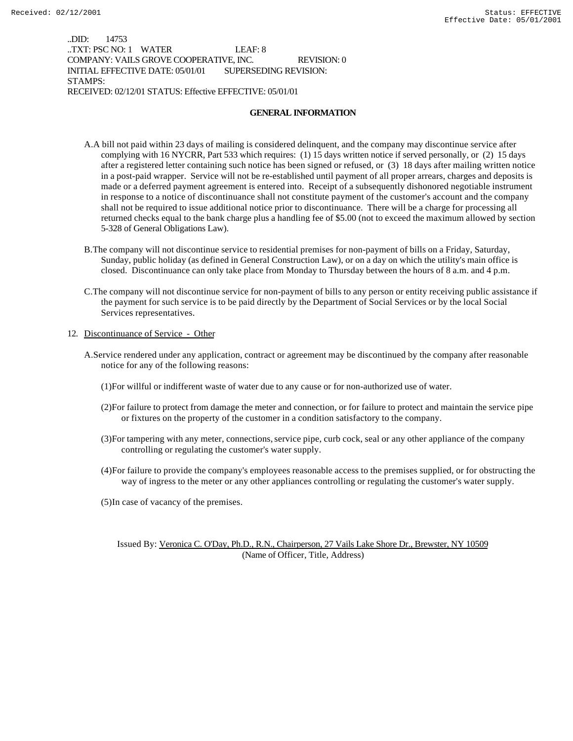..DID: 14753 ..TXT: PSC NO: 1 WATER LEAF: 8 COMPANY: VAILS GROVE COOPERATIVE, INC. REVISION: 0 INITIAL EFFECTIVE DATE: 05/01/01 SUPERSEDING REVISION: STAMPS: RECEIVED: 02/12/01 STATUS: Effective EFFECTIVE: 05/01/01

#### **GENERAL INFORMATION**

- A.A bill not paid within 23 days of mailing is considered delinquent, and the company may discontinue service after complying with 16 NYCRR, Part 533 which requires: (1) 15 days written notice if served personally, or (2) 15 days after a registered letter containing such notice has been signed or refused, or (3) 18 days after mailing written notice in a post-paid wrapper. Service will not be re-established until payment of all proper arrears, charges and deposits is made or a deferred payment agreement is entered into. Receipt of a subsequently dishonored negotiable instrument in response to a notice of discontinuance shall not constitute payment of the customer's account and the company shall not be required to issue additional notice prior to discontinuance. There will be a charge for processing all returned checks equal to the bank charge plus a handling fee of \$5.00 (not to exceed the maximum allowed by section 5-328 of General Obligations Law).
- B.The company will not discontinue service to residential premises for non-payment of bills on a Friday, Saturday, Sunday, public holiday (as defined in General Construction Law), or on a day on which the utility's main office is closed. Discontinuance can only take place from Monday to Thursday between the hours of 8 a.m. and 4 p.m.
- C.The company will not discontinue service for non-payment of bills to any person or entity receiving public assistance if the payment for such service is to be paid directly by the Department of Social Services or by the local Social Services representatives.

#### 12. Discontinuance of Service - Other

- A.Service rendered under any application, contract or agreement may be discontinued by the company after reasonable notice for any of the following reasons:
	- (1)For willful or indifferent waste of water due to any cause or for non-authorized use of water.
	- (2)For failure to protect from damage the meter and connection, or for failure to protect and maintain the service pipe or fixtures on the property of the customer in a condition satisfactory to the company.
	- (3)For tampering with any meter, connections, service pipe, curb cock, seal or any other appliance of the company controlling or regulating the customer's water supply.
	- (4)For failure to provide the company's employees reasonable access to the premises supplied, or for obstructing the way of ingress to the meter or any other appliances controlling or regulating the customer's water supply.

(5)In case of vacancy of the premises.

Issued By: Veronica C. O'Day, Ph.D., R.N., Chairperson, 27 Vails Lake Shore Dr., Brewster, NY 10509 (Name of Officer, Title, Address)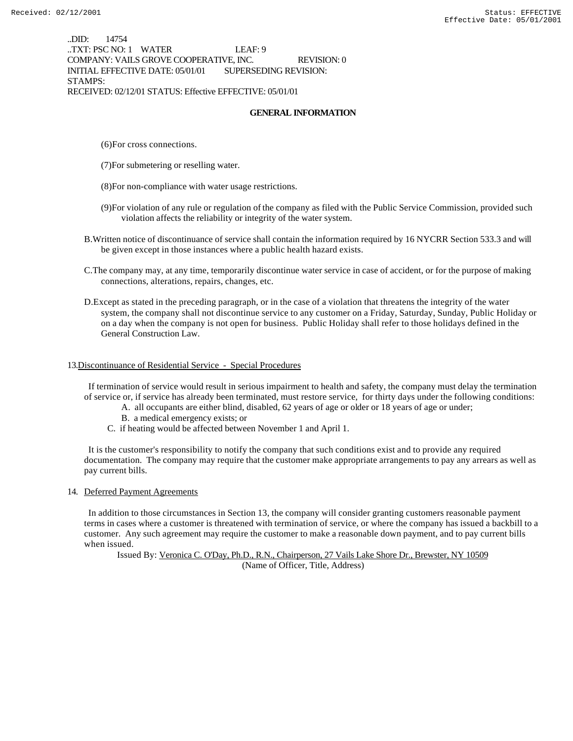..DID: 14754 ..TXT: PSC NO: 1 WATER LEAF: 9 COMPANY: VAILS GROVE COOPERATIVE, INC. REVISION: 0 INITIAL EFFECTIVE DATE: 05/01/01 SUPERSEDING REVISION: STAMPS: RECEIVED: 02/12/01 STATUS: Effective EFFECTIVE: 05/01/01

#### **GENERAL INFORMATION**

- (6)For cross connections.
- (7)For submetering or reselling water.
- (8)For non-compliance with water usage restrictions.
- (9)For violation of any rule or regulation of the company as filed with the Public Service Commission, provided such violation affects the reliability or integrity of the water system.
- B.Written notice of discontinuance of service shall contain the information required by 16 NYCRR Section 533.3 and will be given except in those instances where a public health hazard exists.
- C.The company may, at any time, temporarily discontinue water service in case of accident, or for the purpose of making connections, alterations, repairs, changes, etc.
- D.Except as stated in the preceding paragraph, or in the case of a violation that threatens the integrity of the water system, the company shall not discontinue service to any customer on a Friday, Saturday, Sunday, Public Holiday or on a day when the company is not open for business. Public Holiday shall refer to those holidays defined in the General Construction Law.

#### 13.Discontinuance of Residential Service - Special Procedures

 If termination of service would result in serious impairment to health and safety, the company must delay the termination of service or, if service has already been terminated, must restore service, for thirty days under the following conditions:

- A. all occupants are either blind, disabled, 62 years of age or older or 18 years of age or under;
- B. a medical emergency exists; or
- C. if heating would be affected between November 1 and April 1.

 It is the customer's responsibility to notify the company that such conditions exist and to provide any required documentation. The company may require that the customer make appropriate arrangements to pay any arrears as well as pay current bills.

14. Deferred Payment Agreements

 In addition to those circumstances in Section 13, the company will consider granting customers reasonable payment terms in cases where a customer is threatened with termination of service, or where the company has issued a backbill to a customer. Any such agreement may require the customer to make a reasonable down payment, and to pay current bills when issued.

Issued By: Veronica C. O'Day, Ph.D., R.N., Chairperson, 27 Vails Lake Shore Dr., Brewster, NY 10509 (Name of Officer, Title, Address)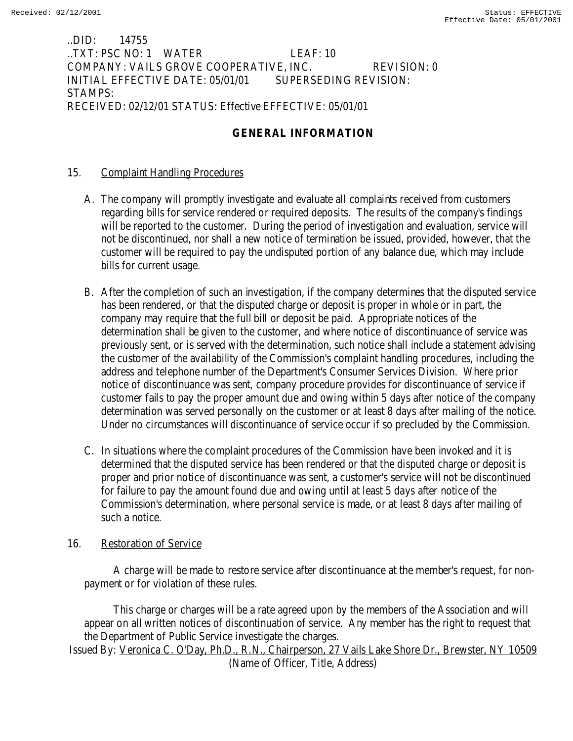..DID: 14755 ..TXT: PSC NO: 1 WATER LEAF: 10 COMPANY: VAILS GROVE COOPERATIVE, INC. REVISION: 0 INITIAL EFFECTIVE DATE: 05/01/01 SUPERSEDING REVISION: STAMPS: RECEIVED: 02/12/01 STATUS: Effective EFFECTIVE: 05/01/01

## **GENERAL INFORMATION**

### 15. Complaint Handling Procedures

- A. The company will promptly investigate and evaluate all complaints received from customers regarding bills for service rendered or required deposits. The results of the company's findings will be reported to the customer. During the period of investigation and evaluation, service will not be discontinued, nor shall a new notice of termination be issued, provided, however, that the customer will be required to pay the undisputed portion of any balance due, which may include bills for current usage.
- B. After the completion of such an investigation, if the company determines that the disputed service has been rendered, or that the disputed charge or deposit is proper in whole or in part, the company may require that the full bill or deposit be paid. Appropriate notices of the determination shall be given to the customer, and where notice of discontinuance of service was previously sent, or is served with the determination, such notice shall include a statement advising the customer of the availability of the Commission's complaint handling procedures, including the address and telephone number of the Department's Consumer Services Division. Where prior notice of discontinuance was sent, company procedure provides for discontinuance of service if customer fails to pay the proper amount due and owing within 5 days after notice of the company determination was served personally on the customer or at least 8 days after mailing of the notice. Under no circumstances will discontinuance of service occur if so precluded by the Commission.
- C. In situations where the complaint procedures of the Commission have been invoked and it is determined that the disputed service has been rendered or that the disputed charge or deposit is proper and prior notice of discontinuance was sent, a customer's service will not be discontinued for failure to pay the amount found due and owing until at least 5 days after notice of the Commission's determination, where personal service is made, or at least 8 days after mailing of such a notice.

### 16. Restoration of Service

 A charge will be made to restore service after discontinuance at the member's request, for nonpayment or for violation of these rules.

 This charge or charges will be a rate agreed upon by the members of the Association and will appear on all written notices of discontinuation of service. Any member has the right to request that the Department of Public Service investigate the charges. Issued By: Veronica C. O'Day, Ph.D., R.N., Chairperson, 27 Vails Lake Shore Dr., Brewster, NY 10509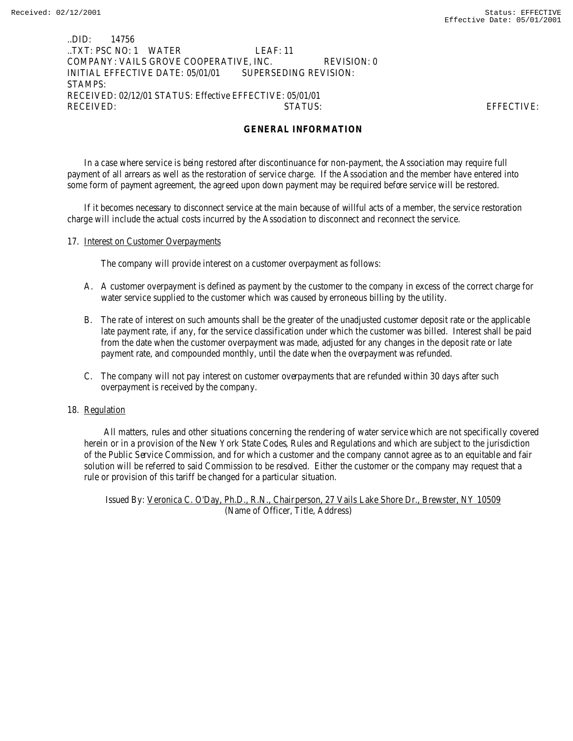### ..DID: 14756 ..TXT: PSC NO: 1 WATER LEAF: 11 COMPANY: VAILS GROVE COOPERATIVE, INC. REVISION: 0 INITIAL EFFECTIVE DATE: 05/01/01 SUPERSEDING REVISION: STAMPS: RECEIVED: 02/12/01 STATUS: Effective EFFECTIVE: 05/01/01 RECEIVED: STATUS: EFFECTIVE:

### **GENERAL INFORMATION**

In a case where service is being restored after discontinuance for non-payment, the Association may require full payment of all arrears as well as the restoration of service charge. If the Association and the member have entered into some form of payment agreement, the agreed upon down payment may be required before service will be restored.

If it becomes necessary to disconnect service at the main because of willful acts of a member, the service restoration charge will include the actual costs incurred by the Association to disconnect and reconnect the service.

### 17. Interest on Customer Overpayments

The company will provide interest on a customer overpayment as follows:

- A. A customer overpayment is defined as payment by the customer to the company in excess of the correct charge for water service supplied to the customer which was caused by erroneous billing by the utility.
- B. The rate of interest on such amounts shall be the greater of the unadjusted customer deposit rate or the applicable late payment rate, if any, for the service classification under which the customer was billed. Interest shall be paid from the date when the customer overpayment was made, adjusted for any changes in the deposit rate or late payment rate, and compounded monthly, until the date when the overpayment was refunded.
- C. The company will not pay interest on customer overpayments that are refunded within 30 days after such overpayment is received by the company.

#### 18. Regulation

 All matters, rules and other situations concerning the rendering of water service which are not specifically covered herein or in a provision of the New York State Codes, Rules and Regulations and which are subject to the jurisdiction of the Public Service Commission, and for which a customer and the company cannot agree as to an equitable and fair solution will be referred to said Commission to be resolved. Either the customer or the company may request that a rule or provision of this tariff be changed for a particular situation.

Issued By: Veronica C. O'Day, Ph.D., R.N., Chairperson, 27 Vails Lake Shore Dr., Brewster, NY 10509 (Name of Officer, Title, Address)